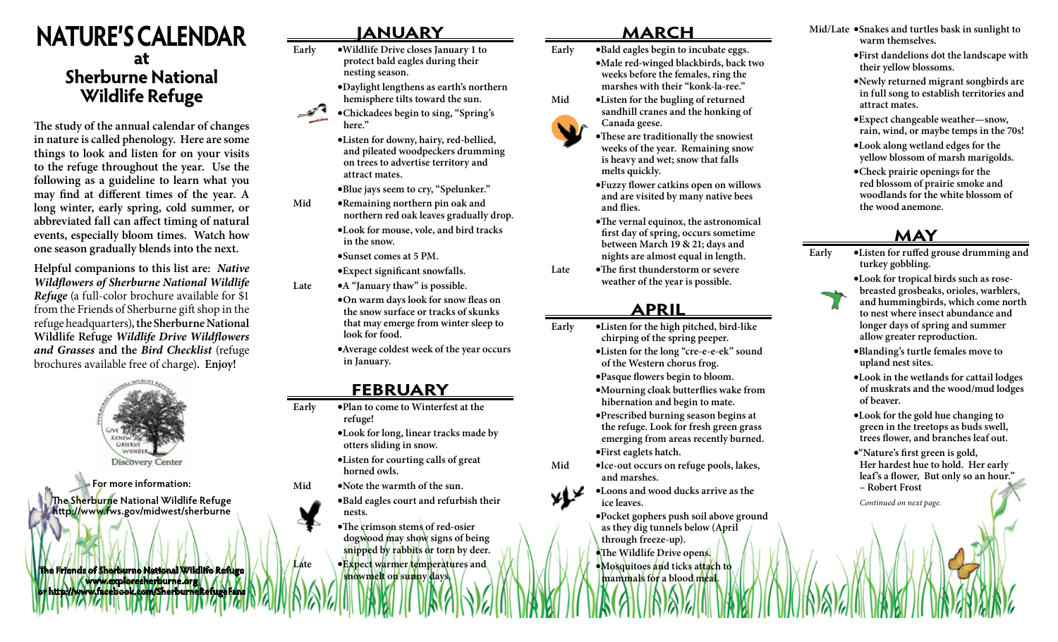# **NATURE'S CALENDAR at Sherburne National Wildlife Refuge**

**The study of the annual calendar of changes in nature is called phenology. Here are some things to look and listen for on your visits to the refuge throughout the year. Use the following as a guideline to learn what you may find at different times of the year. A long winter, early spring, cold summer, or abbreviated fall can affect timing of natural events, especially bloom times. Watch how one season gradually blends into the next.**

**Helpful companions to this list are:** *Native Wildflowers of Sherburne National Wildlife Refuge* (a full-color brochure available for \$1 from the Friends of Sherburne gift shop in the refuge headquarters)**, the Sherburne National Wildlife Refuge** *Wildlife Drive Wildflowers and Grasses* **and the** *Bird Checklist* (refuge brochures available free of charge)**. Enjoy!**



**For more information: The Sherburne National Wildlife Refuge http://www.fws.gov/midwest/sherburne**

**The Friends of Sherburne National Wildlife Refuge www.exploresherburne.org or http://www.facebook.com/SherburneRefugeFans**

## **JANUARY**

- **Early •Wildlife Drive closes January 1 to protect bald eagles during their nesting season.** 
	- **•Daylight lengthens as earth's northern hemisphere tilts toward the sun.**
	- **•Chickadees begin to sing, "Spring's here."** 
		- **•Listen for downy, hairy, red-bellied, and pileated woodpeckers drumming on trees to advertise territory and attract mates.**
		- **•Blue jays seem to cry, "Spelunker."**
- **Mid •Remaining northern pin oak and northern red oak leaves gradually drop.**
	- **•Look for mouse, vole, and bird tracks in the snow.**
	- **•Sunset comes at 5 PM.**
- **•Expect significant snowfalls. Late •A "January thaw" is possible.**
	- **•On warm days look for snow fleas on the snow surface or tracks of skunks that may emerge from winter sleep to look for food.**
	- **•Average coldest week of the year occurs in January.**

### **FEBRUARY**

- **Early •Plan to come to Winterfest at the refuge!** 
	- **•Look for long, linear tracks made by otters sliding in snow.**
	- **•Listen for courting calls of great horned owls.**
- **Mid •Note the warmth of the sun.**
	- **•Bald eagles court and refurbish their nests.**
	- **•The crimson stems of red-osier dogwood may show signs of being snipped by rabbits or torn by deer.**
- **Late •Expect warmer temperatures and**

**snowmelt on sunny days.**

### **MARCH**

- **Early •Bald eagles begin to incubate eggs.**
	- **•Male red-winged blackbirds, back two weeks before the females, ring the marshes with their "konk-la-ree."**
- **Mid •Listen for the bugling of returned sandhill cranes and the honking of Canada geese.** 
	- **•These are traditionally the snowiest weeks of the year. Remaining snow is heavy and wet; snow that falls melts quickly.**
	- **•Fuzzy flower catkins open on willows and are visited by many native bees and flies.**
	- **•The vernal equinox, the astronomical first day of spring, occurs sometime between March 19 & 21; days and nights are almost equal in length.**
- **Late •The first thunderstorm or severe weather of the year is possible.**

### **APRIL**

- **Early •Listen for the high pitched, bird-like chirping of the spring peeper.** 
	- **•Listen for the long "cre-e-e-ek" sound of the Western chorus frog.**
	- **•Pasque flowers begin to bloom.**
	- **•Mourning cloak butterflies wake from hibernation and begin to mate.**
	- **•Prescribed burning season begins at the refuge. Look for fresh green grass emerging from areas recently burned. •First eaglets hatch.**
- **Mid •Ice-out occurs on refuge pools, lakes, and marshes.**
	- **•Loons and wood ducks arrive as the ice leaves.**
	- **•Pocket gophers push soil above ground as they dig tunnels below (April through freeze-up). •The Wildlife Drive opens. •Mosquitoes and ticks attach to mammals for a blood meal.**
- **Mid/Late •Snakes and turtles bask in sunlight to warm themselves.**
	- **•First dandelions dot the landscape with their yellow blossoms.**
	- **•Newly returned migrant songbirds are in full song to establish territories and attract mates.**
	- **•Expect changeable weather—snow, rain, wind, or maybe temps in the 70s!**
	- **•Look along wetland edges for the yellow blossom of marsh marigolds.**
	- **•Check prairie openings for the red blossom of prairie smoke and woodlands for the white blossom of the wood anemone.**

### **MAY**

- **Early •Listen for ruffed grouse drumming and turkey gobbling.**
	- **•Look for tropical birds such as rosebreasted grosbeaks, orioles, warblers, and hummingbirds, which come north to nest where insect abundance and longer days of spring and summer allow greater reproduction.**
	- **•Blanding's turtle females move to upland nest sites.**
	- **•Look in the wetlands for cattail lodges of muskrats and the wood/mud lodges of beaver.**
	- **•Look for the gold hue changing to green in the treetops as buds swell, trees flower, and branches leaf out.**
	- **•"Nature's first green is gold, Her hardest hue to hold. Her early leaf's a flower, But only so an hour." – Robert Frost**

*Continued on next page.*